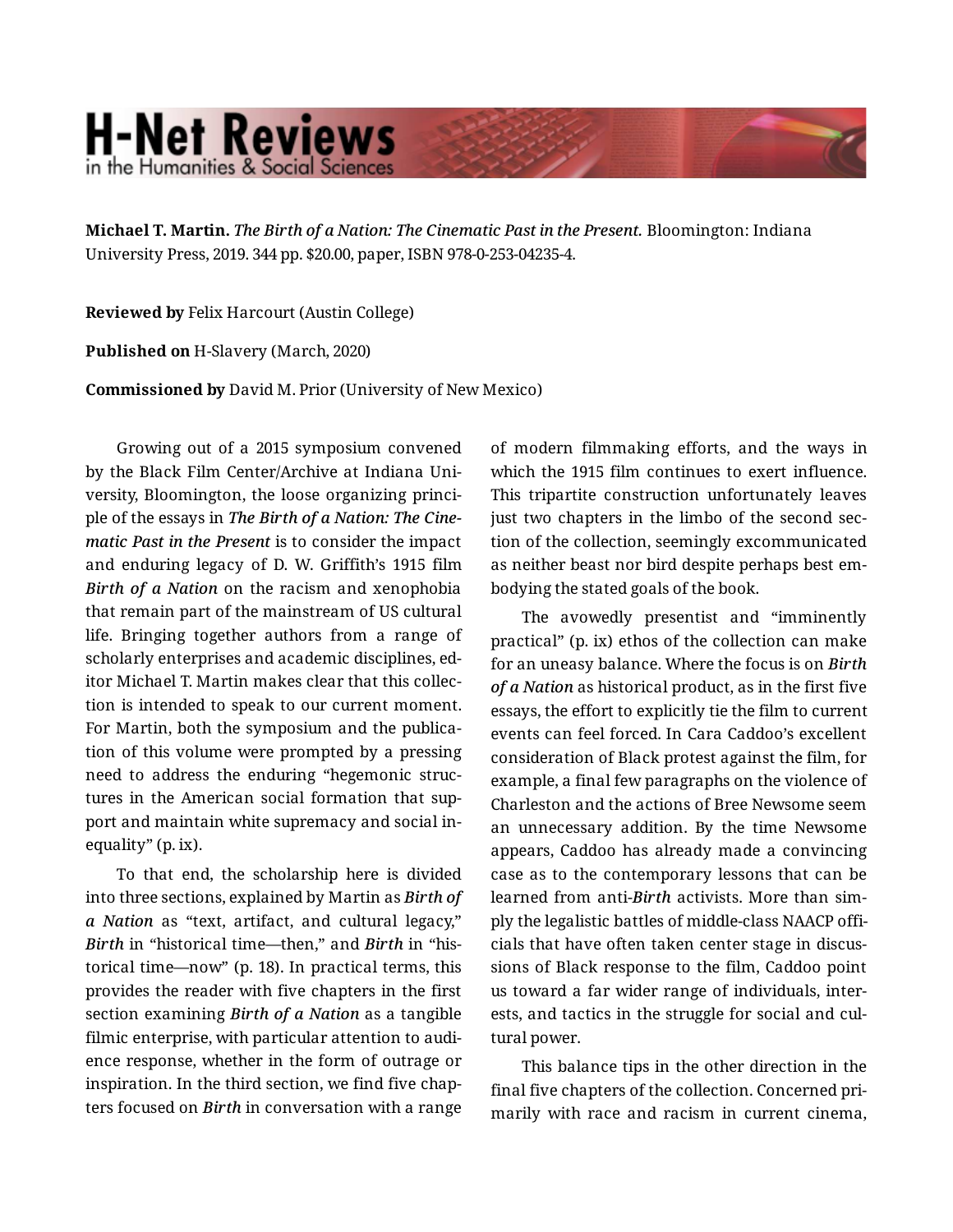## **H-Net Reviews** in the Humanities & Social Scienc

**Michael T. Martin.** *The Birth of a Nation: The Cinematic Past in the Present.* Bloomington: Indiana University Press, 2019. 344 pp. \$20.00, paper, ISBN 978-0-253-04235-4.

**Reviewed by** Felix Harcourt (Austin College)

**Published on** H-Slavery (March, 2020)

**Commissioned by** David M. Prior (University of New Mexico)

Growing out of a 2015 symposium convened by the Black Film Center/Archive at Indiana Uni‐ versity, Bloomington, the loose organizing princi‐ ple of the essays in *The Birth of a Nation: The Cine‐ matic Past in the Present* is to consider the impact and enduring legacy of D. W. Griffith's 1915 film *Birth of a Nation* on the racism and xenophobia that remain part of the mainstream of US cultural life. Bringing together authors from a range of scholarly enterprises and academic disciplines, ed‐ itor Michael T. Martin makes clear that this collec‐ tion is intended to speak to our current moment. For Martin, both the symposium and the publica‐ tion of this volume were prompted by a pressing need to address the enduring "hegemonic struc‐ tures in the American social formation that support and maintain white supremacy and social in‐ equality" (p. ix).

To that end, the scholarship here is divided into three sections, explained by Martin as *Birth of a Nation* as "text, artifact, and cultural legacy," *Birth* in "historical time—then," and *Birth* in "his‐ torical time—now" (p. 18). In practical terms, this provides the reader with five chapters in the first section examining *Birth of a Nation* as a tangible filmic enterprise, with particular attention to audi‐ ence response, whether in the form of outrage or inspiration. In the third section, we find five chap‐ ters focused on *Birth* in conversation with a range

of modern filmmaking efforts, and the ways in which the 1915 film continues to exert influence. This tripartite construction unfortunately leaves just two chapters in the limbo of the second sec‐ tion of the collection, seemingly excommunicated as neither beast nor bird despite perhaps best em‐ bodying the stated goals of the book.

The avowedly presentist and "imminently practical" (p. ix) ethos of the collection can make for an uneasy balance. Where the focus is on *Birth of a Nation* as historical product, as in the first five essays, the effort to explicitly tie the film to current events can feel forced. In Cara Caddoo's excellent consideration of Black protest against the film, for example, a final few paragraphs on the violence of Charleston and the actions of Bree Newsome seem an unnecessary addition. By the time Newsome appears, Caddoo has already made a convincing case as to the contemporary lessons that can be learned from anti-*Birth* activists. More than sim‐ ply the legalistic battles of middle-class NAACP offi‐ cials that have often taken center stage in discus‐ sions of Black response to the film, Caddoo point us toward a far wider range of individuals, inter‐ ests, and tactics in the struggle for social and cul‐ tural power.

This balance tips in the other direction in the final five chapters of the collection. Concerned pri‐ marily with race and racism in current cinema,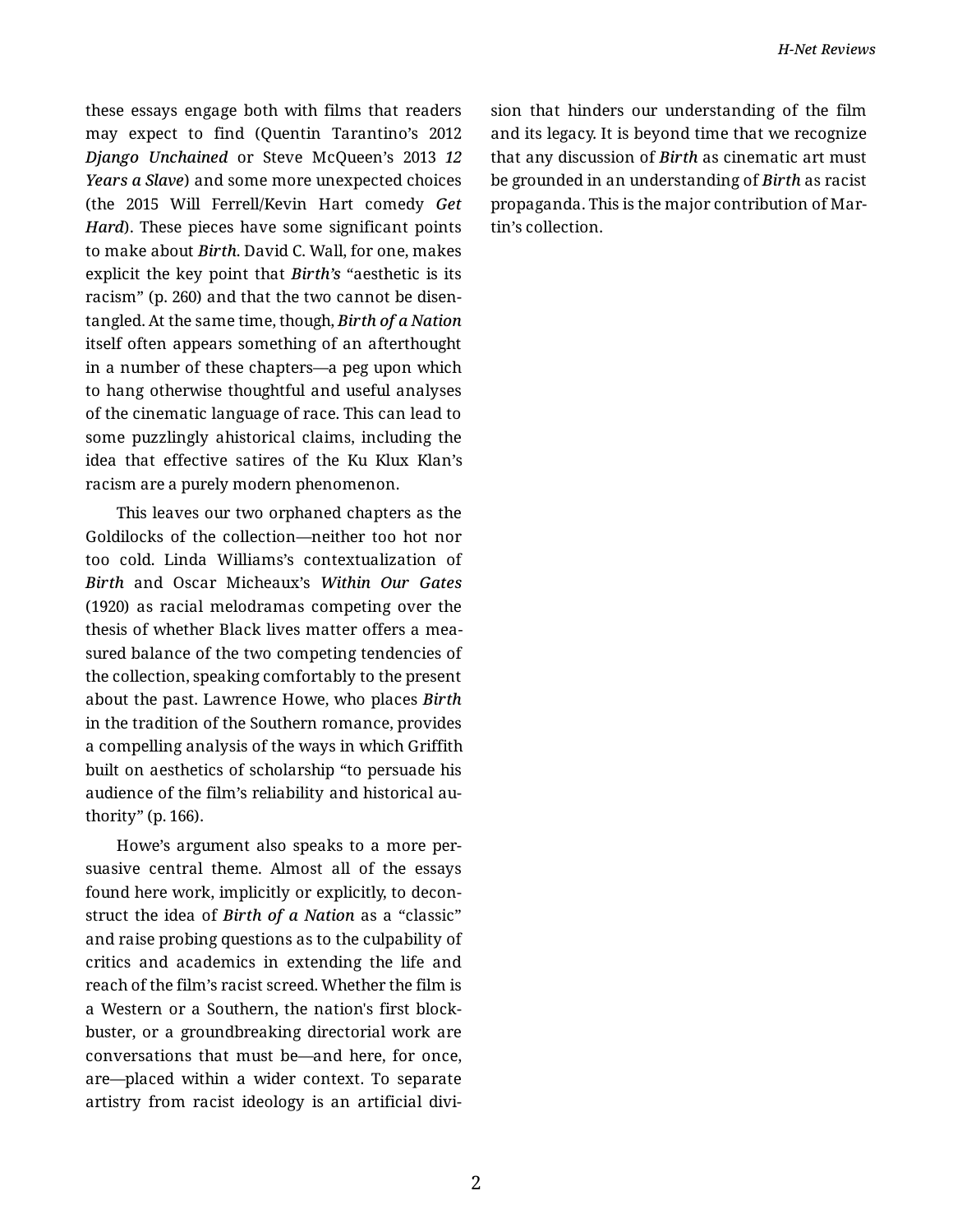these essays engage both with films that readers may expect to find (Quentin Tarantino's 2012 *Django Unchained* or Steve McQueen's 2013 *12 Years a Slave*) and some more unexpected choices (the 2015 Will Ferrell/Kevin Hart comedy *Get Hard*). These pieces have some significant points to make about *Birth*. David C. Wall, for one, makes explicit the key point that *Birth's* "aesthetic is its racism" (p. 260) and that the two cannot be disen‐ tangled. At the same time, though, *Birth of a Nation* itself often appears something of an afterthought in a number of these chapters—a peg upon which to hang otherwise thoughtful and useful analyses of the cinematic language of race. This can lead to some puzzlingly ahistorical claims, including the idea that effective satires of the Ku Klux Klan's racism are a purely modern phenomenon.

This leaves our two orphaned chapters as the Goldilocks of the collection—neither too hot nor too cold. Linda Williams's contextualization of *Birth* and Oscar Micheaux's *Within Our Gates* (1920) as racial melodramas competing over the thesis of whether Black lives matter offers a mea‐ sured balance of the two competing tendencies of the collection, speaking comfortably to the present about the past. Lawrence Howe, who places *Birth*  in the tradition of the Southern romance, provides a compelling analysis of the ways in which Griffith built on aesthetics of scholarship "to persuade his audience of the film's reliability and historical au‐ thority" (p. 166).

Howe's argument also speaks to a more per‐ suasive central theme. Almost all of the essays found here work, implicitly or explicitly, to decon‐ struct the idea of *Birth of a Nation* as a "classic" and raise probing questions as to the culpability of critics and academics in extending the life and reach of the film's racist screed. Whether the film is a Western or a Southern, the nation's first block‐ buster, or a groundbreaking directorial work are conversations that must be—and here, for once, are—placed within a wider context. To separate artistry from racist ideology is an artificial divi‐ sion that hinders our understanding of the film and its legacy. It is beyond time that we recognize that any discussion of *Birth* as cinematic art must be grounded in an understanding of *Birth* as racist propaganda. This is the major contribution of Mar‐ tin's collection.